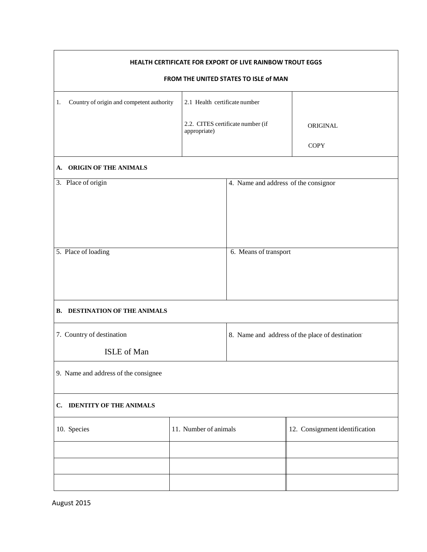| HEALTH CERTIFICATE FOR EXPORT OF LIVE RAINBOW TROUT EGGS |                                                   |                                                 |                                |  |  |  |
|----------------------------------------------------------|---------------------------------------------------|-------------------------------------------------|--------------------------------|--|--|--|
| FROM THE UNITED STATES TO ISLE of MAN                    |                                                   |                                                 |                                |  |  |  |
| Country of origin and competent authority<br>1.          | 2.1 Health certificate number                     |                                                 |                                |  |  |  |
|                                                          | 2.2. CITES certificate number (if<br>appropriate) |                                                 | ORIGINAL                       |  |  |  |
|                                                          |                                                   |                                                 | <b>COPY</b>                    |  |  |  |
| ORIGIN OF THE ANIMALS<br>A.                              |                                                   |                                                 |                                |  |  |  |
| 3. Place of origin                                       |                                                   | 4. Name and address of the consignor            |                                |  |  |  |
|                                                          |                                                   |                                                 |                                |  |  |  |
| 5. Place of loading                                      |                                                   | 6. Means of transport                           |                                |  |  |  |
| <b>B. DESTINATION OF THE ANIMALS</b>                     |                                                   |                                                 |                                |  |  |  |
| 7. Country of destination                                |                                                   | 8. Name and address of the place of destination |                                |  |  |  |
| ISLE of Man                                              |                                                   |                                                 |                                |  |  |  |
| 9. Name and address of the consignee                     |                                                   |                                                 |                                |  |  |  |
| C. IDENTITY OF THE ANIMALS                               |                                                   |                                                 |                                |  |  |  |
| 10. Species                                              | 11. Number of animals                             |                                                 | 12. Consignment identification |  |  |  |
|                                                          |                                                   |                                                 |                                |  |  |  |
|                                                          |                                                   |                                                 |                                |  |  |  |
|                                                          |                                                   |                                                 |                                |  |  |  |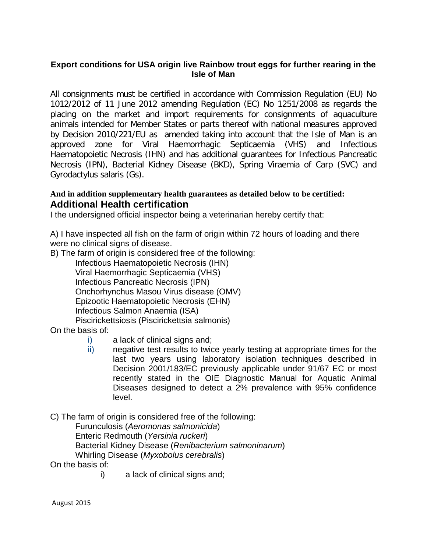## **Export conditions for USA origin live Rainbow trout eggs for further rearing in the Isle of Man**

All consignments must be certified in accordance with Commission Regulation (EU) No 1012/2012 of 11 June 2012 amending Regulation (EC) No 1251/2008 as regards the placing on the market and import requirements for consignments of aquaculture animals intended for Member States or parts thereof with national measures approved by Decision 2010/221/EU as amended taking into account that the Isle of Man is an approved zone for Viral Haemorrhagic Septicaemia (VHS) and Infectious Haematopoietic Necrosis (IHN) and has additional guarantees for Infectious Pancreatic Necrosis (IPN), Bacterial Kidney Disease (BKD), Spring Viraemia of Carp (SVC) and Gyrodactylus salaris (Gs).

## **And in addition supplementary health guarantees as detailed below to be certified: Additional Health certification**

I the undersigned official inspector being a veterinarian hereby certify that:

A) I have inspected all fish on the farm of origin within 72 hours of loading and there were no clinical signs of disease.

B) The farm of origin is considered free of the following:

Infectious Haematopoietic Necrosis (IHN) Viral Haemorrhagic Septicaemia (VHS) Infectious Pancreatic Necrosis (IPN) Onchorhynchus Masou Virus disease (OMV) Epizootic Haematopoietic Necrosis (EHN) Infectious Salmon Anaemia (ISA) Piscirickettsiosis (Piscirickettsia salmonis)

On the basis of:

- i) a lack of clinical signs and;
- ii) negative test results to twice yearly testing at appropriate times for the last two years using laboratory isolation techniques described in Decision 2001/183/EC previously applicable under 91/67 EC or most recently stated in the OIE Diagnostic Manual for Aquatic Animal Diseases designed to detect a 2% prevalence with 95% confidence level.

C) The farm of origin is considered free of the following:

Furunculosis (*Aeromonas salmonicida*) Enteric Redmouth (*Yersinia ruckeri*) Bacterial Kidney Disease (*Renibacterium salmoninarum*) Whirling Disease (*Myxobolus cerebralis*)

On the basis of:

i) a lack of clinical signs and;

August 2015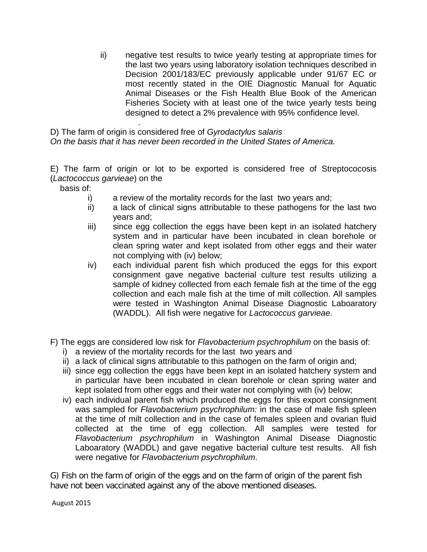ii) negative test results to twice yearly testing at appropriate times for the last two years using laboratory isolation techniques described in Decision 2001/183/EC previously applicable under 91/67 EC or most recently stated in the OIE Diagnostic Manual for Aquatic Animal Diseases or the Fish Health Blue Book of the American Fisheries Society with at least one of the twice yearly tests being designed to detect a 2% prevalence with 95% confidence level.

. D) The farm of origin is considered free of *Gyrodactylus salaris On the basis that it has never been recorded in the United States of America.*

E) The farm of origin or lot to be exported is considered free of Streptococosis (*Lactococcus garvieae*) on the

basis of:

- i) a review of the mortality records for the last two years and;
- ii) a lack of clinical signs attributable to these pathogens for the last two years and;
- iii) since egg collection the eggs have been kept in an isolated hatchery system and in particular have been incubated in clean borehole or clean spring water and kept isolated from other eggs and their water not complying with (iv) below;
- iv) each individual parent fish which produced the eggs for this export consignment gave negative bacterial culture test results utilizing a sample of kidney collected from each female fish at the time of the egg collection and each male fish at the time of milt collection. All samples were tested in Washington Animal Disease Diagnostic Laboaratory (WADDL). All fish were negative for *Lactococcus garvieae*.
- F) The eggs are considered low risk for *Flavobacterium psychrophilum* on the basis of:
	- i) a review of the mortality records for the last two years and
	- ii) a lack of clinical signs attributable to this pathogen on the farm of origin and;
	- iii) since egg collection the eggs have been kept in an isolated hatchery system and in particular have been incubated in clean borehole or clean spring water and kept isolated from other eggs and their water not complying with (iv) below;
	- iv) each individual parent fish which produced the eggs for this export consignment was sampled for *Flavobacterium psychrophilum:* in the case of male fish spleen at the time of milt collection and in the case of females spleen and ovarian fluid collected at the time of egg collection. All samples were tested for *Flavobacterium psychrophilum* in Washington Animal Disease Diagnostic Laboaratory (WADDL) and gave negative bacterial culture test results. All fish were negative for *Flavobacterium psychrophilum*.

G) Fish on the farm of origin of the eggs and on the farm of origin of the parent fish have not been vaccinated against any of the above mentioned diseases.